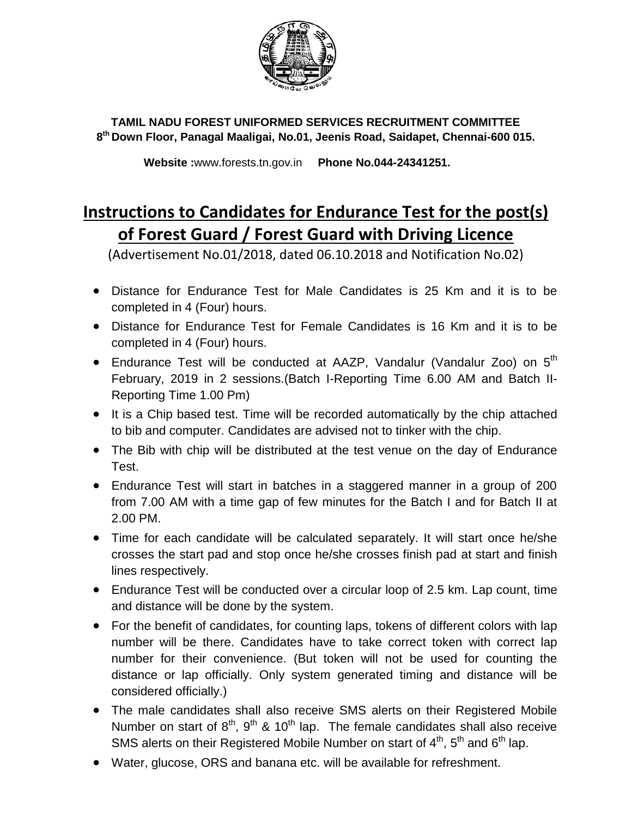

**TAMIL NADU FOREST UNIFORMED SERVICES RECRUITMENT COMMITTEE 8 th Down Floor, Panagal Maaligai, No.01, Jeenis Road, Saidapet, Chennai-600 015.**

 **Website :**www.forests.tn.gov.in **Phone No.044-24341251.**

## **Instructions to Candidates for Endurance Test for the post(s) of Forest Guard / Forest Guard with Driving Licence**

(Advertisement No.01/2018, dated 06.10.2018 and Notification No.02)

- Distance for Endurance Test for Male Candidates is 25 Km and it is to be completed in 4 (Four) hours.
- Distance for Endurance Test for Female Candidates is 16 Km and it is to be completed in 4 (Four) hours.
- Endurance Test will be conducted at AAZP, Vandalur (Vandalur Zoo) on  $5<sup>th</sup>$ February, 2019 in 2 sessions.(Batch I-Reporting Time 6.00 AM and Batch II-Reporting Time 1.00 Pm)
- It is a Chip based test. Time will be recorded automatically by the chip attached to bib and computer. Candidates are advised not to tinker with the chip.
- The Bib with chip will be distributed at the test venue on the day of Endurance Test.
- Endurance Test will start in batches in a staggered manner in a group of 200 from 7.00 AM with a time gap of few minutes for the Batch I and for Batch II at 2.00 PM.
- Time for each candidate will be calculated separately. It will start once he/she crosses the start pad and stop once he/she crosses finish pad at start and finish lines respectively.
- Endurance Test will be conducted over a circular loop of 2.5 km. Lap count, time and distance will be done by the system.
- For the benefit of candidates, for counting laps, tokens of different colors with lap number will be there. Candidates have to take correct token with correct lap number for their convenience. (But token will not be used for counting the distance or lap officially. Only system generated timing and distance will be considered officially.)
- The male candidates shall also receive SMS alerts on their Registered Mobile Number on start of  $8<sup>th</sup>$ ,  $9<sup>th</sup>$  & 10<sup>th</sup> lap. The female candidates shall also receive SMS alerts on their Registered Mobile Number on start of  $4<sup>th</sup>$ ,  $5<sup>th</sup>$  and  $6<sup>th</sup>$  lap.
- Water, glucose, ORS and banana etc. will be available for refreshment.